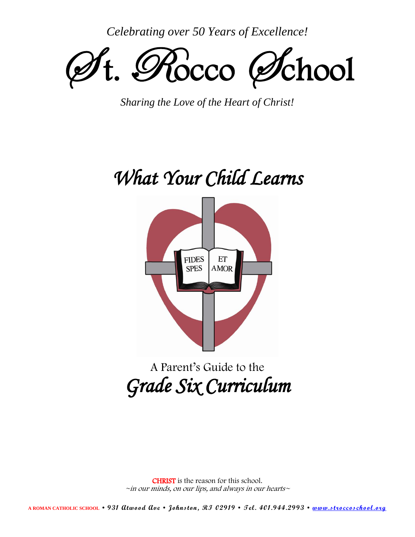*Celebrating over 50 Years of Excellence!*



*Sharing the Love of the Heart of Christ!*

# *What Your Child Learns*



## A Parent's Guide to the *Grade Six Curriculum*

CHRIST is the reason for this school.  $\sim$ in our minds, on our lips, and always in our hearts $\sim$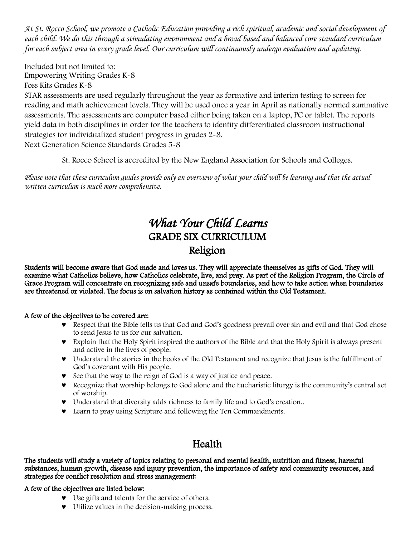*At St. Rocco School, we promote a Catholic Education providing a rich spiritual, academic and social development of each child. We do this through a stimulating environment and a broad based and balanced core standard curriculum for each subject area in every grade level. Our curriculum will continuously undergo evaluation and updating.*

Included but not limited to: Empowering Writing Grades K-8

Foss Kits Grades K-8

STAR assessments are used regularly throughout the year as formative and interim testing to screen for reading and math achievement levels. They will be used once a year in April as nationally normed summative assessments. The assessments are computer based either being taken on a laptop, PC or tablet. The reports yield data in both disciplines in order for the teachers to identify differentiated classroom instructional strategies for individualized student progress in grades 2-8. Next Generation Science Standards Grades 5-8

St. Rocco School is accredited by the New England Association for Schools and Colleges.

*Please note that these curriculum guides provide only an overview of what your child will be learning and that the actual written curriculum is much more comprehensive.*

## *What Your Child Learns*  GRADE SIX CURRICULUM Religion

Students will become aware that God made and loves us. They will appreciate themselves as gifts of God. They will examine what Catholics believe, how Catholics celebrate, live, and pray. As part of the Religion Program, the Circle of Grace Program will concentrate on recognizing safe and unsafe boundaries, and how to take action when boundaries are threatened or violated. The focus is on salvation history as contained within the Old Testament.

#### A few of the objectives to be covered are:

- Respect that the Bible tells us that God and God's goodness prevail over sin and evil and that God chose to send Jesus to us for our salvation.
- Explain that the Holy Spirit inspired the authors of the Bible and that the Holy Spirit is always present and active in the lives of people.
- Understand the stories in the books of the Old Testament and recognize that Jesus is the fulfillment of God's covenant with His people.
- See that the way to the reign of God is a way of justice and peace.
- Recognize that worship belongs to God alone and the Eucharistic liturgy is the community's central act of worship.
- Understand that diversity adds richness to family life and to God's creation..
- Learn to pray using Scripture and following the Ten Commandments.

## Health

The students will study a variety of topics relating to personal and mental health, nutrition and fitness, harmful substances, human growth, disease and injury prevention, the importance of safety and community resources, and strategies for conflict resolution and stress management:

#### A few of the objectives are listed below:

- Use gifts and talents for the service of others.
- Utilize values in the decision-making process.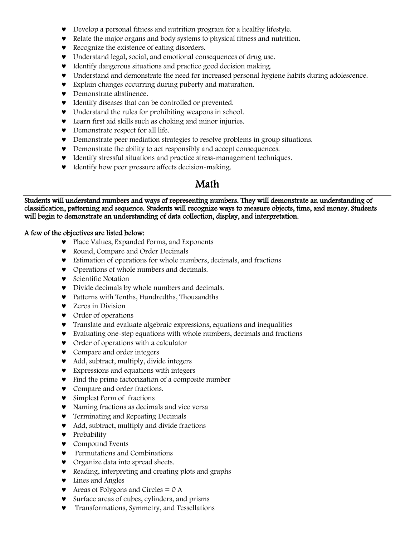- Develop a personal fitness and nutrition program for a healthy lifestyle.
- Relate the major organs and body systems to physical fitness and nutrition.
- Recognize the existence of eating disorders.
- Understand legal, social, and emotional consequences of drug use.
- $\bullet$  Identify dangerous situations and practice good decision making.
- Understand and demonstrate the need for increased personal hygiene habits during adolescence.
- Explain changes occurring during puberty and maturation.
- **v** Demonstrate abstinence.
- $\bullet$  Identify diseases that can be controlled or prevented.
- Understand the rules for prohibiting weapons in school.
- Learn first aid skills such as choking and minor injuries.
- Demonstrate respect for all life.
- Demonstrate peer mediation strategies to resolve problems in group situations.
- Demonstrate the ability to act responsibly and accept consequences.
- Identify stressful situations and practice stress-management techniques.
- $\bullet$  Identify how peer pressure affects decision-making.

#### Math

Students will understand numbers and ways of representing numbers. They will demonstrate an understanding of classification, patterning and sequence. Students will recognize ways to measure objects, time, and money. Students will begin to demonstrate an understanding of data collection, display, and interpretation.

#### A few of the objectives are listed below:

- Place Values, Expanded Forms, and Exponents
- Round, Compare and Order Decimals
- Estimation of operations for whole numbers, decimals, and fractions
- Operations of whole numbers and decimals.
- **v** Scientific Notation
- Divide decimals by whole numbers and decimals.
- Patterns with Tenths, Hundredths, Thousandths
- **v** Zeros in Division
- Order of operations
- Translate and evaluate algebraic expressions, equations and inequalities
- Evaluating one-step equations with whole numbers, decimals and fractions
- Order of operations with a calculator
- Compare and order integers
- Add, subtract, multiply, divide integers
- Expressions and equations with integers
- Find the prime factorization of a composite number
- **v** Compare and order fractions.
- **v** Simplest Form of fractions
- Naming fractions as decimals and vice versa
- **Terminating and Repeating Decimals**
- Add, subtract, multiply and divide fractions
- **v** Probability
- **v** Compound Events
- **v** Permutations and Combinations
- **v** Organize data into spread sheets.
- Reading, interpreting and creating plots and graphs
- U Lines and Angles
- $\bullet$  Areas of Polygons and Circles = 0 A
- Surface areas of cubes, cylinders, and prisms
- Transformations, Symmetry, and Tessellations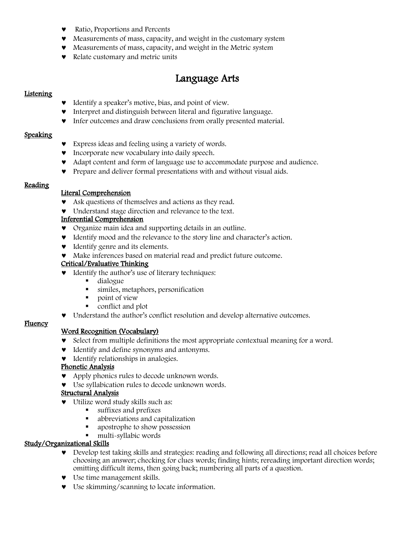- Ratio, Proportions and Percents
- Measurements of mass, capacity, and weight in the customary system
- Measurements of mass, capacity, and weight in the Metric system
- Relate customary and metric units

## Language Arts

#### Listening

- Identify a speaker's motive, bias, and point of view.
- Interpret and distinguish between literal and figurative language.
- $\bullet$  Infer outcomes and draw conclusions from orally presented material.

#### Speaking

- Express ideas and feeling using a variety of words.
- Incorporate new vocabulary into daily speech.
- Adapt content and form of language use to accommodate purpose and audience.
- Prepare and deliver formal presentations with and without visual aids.

#### **Reading**

#### Literal Comprehension

- Ask questions of themselves and actions as they read.
- Understand stage direction and relevance to the text.

#### Inferential Comprehension

- Organize main idea and supporting details in an outline.
- Identify mood and the relevance to the story line and character's action.
- $\bullet$  Identify genre and its elements.
- Make inferences based on material read and predict future outcome.

#### Critical/Evaluative Thinking

- $\bullet$  Identify the author's use of literary techniques:
	- dialogue<br>■ similes r
	- similes, metaphors, personification
	- point of view
	- conflict and plot
- Understand the author's conflict resolution and develop alternative outcomes.

#### Fluency

#### Word Recognition (Vocabulary)

- Select from multiple definitions the most appropriate contextual meaning for a word.
- $\bullet$  Identify and define synonyms and antonyms.
- $\bullet$  Identify relationships in analogies.

#### Phonetic Analysis

- Apply phonics rules to decode unknown words.
- Use syllabication rules to decode unknown words.

#### Structural Analysis

- Utilize word study skills such as:
	- **suffixes and prefixes**<br>**s** abbreviations and can
	- abbreviations and capitalization
	- **•** apostrophe to show possession
	- multi-syllabic words

#### Study/Organizational Skills

- Develop test taking skills and strategies: reading and following all directions; read all choices before choosing an answer; checking for clues words; finding hints; rereading important direction words; omitting difficult items, then going back; numbering all parts of a question.
- Use time management skills.
- Use skimming/scanning to locate information.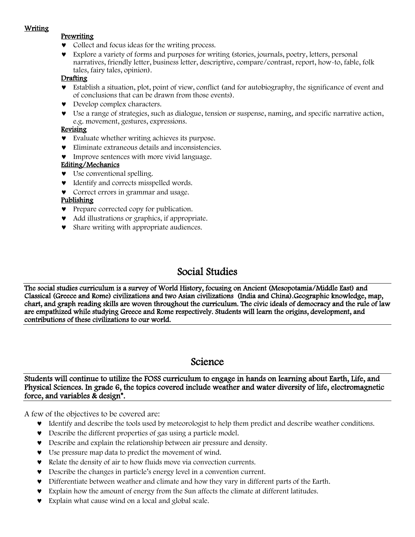#### Writing

#### **Prewriting**

- Collect and focus ideas for the writing process.
- Explore a variety of forms and purposes for writing (stories, journals, poetry, letters, personal narratives, friendly letter, business letter, descriptive, compare/contrast, report, how-to, fable, folk tales, fairy tales, opinion).

#### **Drafting**

- Establish a situation, plot, point of view, conflict (and for autobiography, the significance of event and of conclusions that can be drawn from those events).
- Develop complex characters.
- Use a range of strategies, such as dialogue, tension or suspense, naming, and specific narrative action, e.g. movement, gestures, expressions.

#### Revising

- Evaluate whether writing achieves its purpose.
- Eliminate extraneous details and inconsistencies.
- **v** Improve sentences with more vivid language.

#### Editing/Mechanics

- Use conventional spelling.
- $\bullet$  Identify and corrects misspelled words.
- Correct errors in grammar and usage.

#### Publishing

- Prepare corrected copy for publication.
- Add illustrations or graphics, if appropriate.
- Share writing with appropriate audiences.

## Social Studies

The social studies curriculum is a survey of World History, focusing on Ancient (Mesopotamia/Middle East) and Classical (Greece and Rome) civilizations and two Asian civilizations (India and China).Geographic knowledge, map, chart, and graph reading skills are woven throughout the curriculum. The civic ideals of democracy and the rule of law are empathized while studying Greece and Rome respectively. Students will learn the origins, development, and contributions of these civilizations to our world.

### Science

Students will continue to utilize the FOSS curriculum to engage in hands on learning about Earth, Life, and Physical Sciences. In grade 6, the topics covered include weather and water diversity of life, electromagnetic force, and variables & design\*.

A few of the objectives to be covered are:

- Identify and describe the tools used by meteorologist to help them predict and describe weather conditions.
- Describe the different properties of gas using a particle model.
- Describe and explain the relationship between air pressure and density.
- Use pressure map data to predict the movement of wind.
- Relate the density of air to how fluids move via convection currents.
- Describe the changes in particle's energy level in a convention current.
- Differentiate between weather and climate and how they vary in different parts of the Earth.
- Explain how the amount of energy from the Sun affects the climate at different latitudes.
- Explain what cause wind on a local and global scale.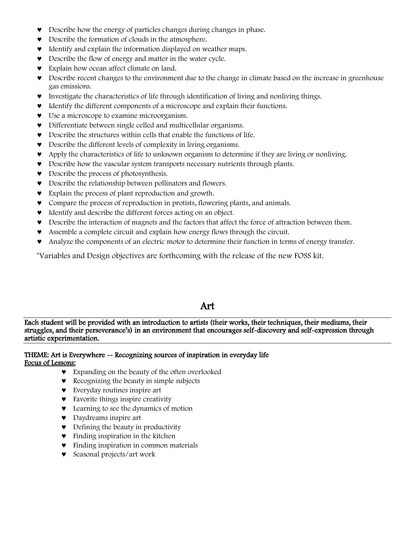- Describe how the energy of particles changes during changes in phase.
- Describe the formation of clouds in the atmosphere.
- $\bullet$  Identify and explain the information displayed on weather maps.
- Describe the flow of energy and matter in the water cycle.
- **v** Explain how ocean affect climate on land.
- Describe recent changes to the environment due to the change in climate based on the increase in greenhouse gas emissions.
- Investigate the characteristics of life through identification of living and nonliving things.
- Identify the different components of a microscope and explain their functions.
- Use a microscope to examine microorganism.
- Differentiate between single celled and multicellular organisms.
- Describe the structures within cells that enable the functions of life.
- Describe the different levels of complexity in living organisms.
- Apply the characteristics of life to unknown organism to determine if they are living or nonliving.
- Describe how the vascular system transports necessary nutrients through plants.
- $\bullet$  Describe the process of photosynthesis.
- Describe the relationship between pollinators and flowers.
- Explain the process of plant reproduction and growth.
- Compare the process of reproduction in protists, flowering plants, and animals.
- Identify and describe the different forces acting on an object.
- Describe the interaction of magnets and the factors that affect the force of attraction between them.
- Assemble a complete circuit and explain how energy flows through the circuit.
- Analyze the components of an electric motor to determine their function in terms of energy transfer.

\*Variables and Design objectives are forthcoming with the release of the new FOSS kit.

#### Art

Each student will be provided with an introduction to artists (their works, their techniques, their mediums, their struggles, and their perseverance's) in an environment that encourages self-discovery and self-expression through artistic experimentation.

#### THEME: Art is Everywhere -- Recognizing sources of inspiration in everyday life Focus of Lessons:

- Expanding on the beauty of the often overlooked
- **Recognizing the beauty in simple subjects**
- Everyday routines inspire art
- **•** Favorite things inspire creativity
- **v** Learning to see the dynamics of motion
- Daydreams inspire art
- Defining the beauty in productivity
- **•** Finding inspiration in the kitchen
- Finding inspiration in common materials
- Seasonal projects/art work